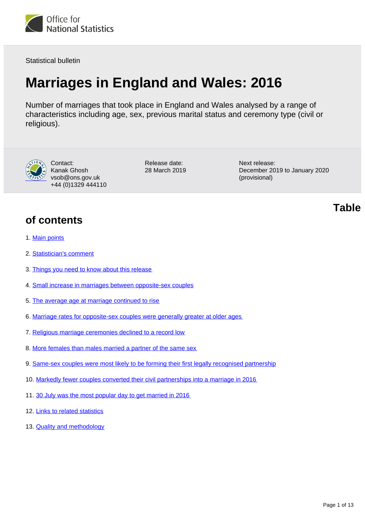<span id="page-0-0"></span>

Statistical bulletin

# **Marriages in England and Wales: 2016**

Number of marriages that took place in England and Wales analysed by a range of characteristics including age, sex, previous marital status and ceremony type (civil or religious).



Contact: Kanak Ghosh vsob@ons.gov.uk +44 (0)1329 444110

Release date: 28 March 2019 Next release: December 2019 to January 2020 (provisional)

### **of contents**

- 1. [Main points](#page-1-0)
- 2. [Statistician's comment](#page-1-1)
- 3. [Things you need to know about this release](#page-1-2)
- 4. [Small increase in marriages between opposite-sex couples](#page-2-0)
- 5. [The average age at marriage continued to rise](#page-4-0)
- 6. [Marriage rates for opposite-sex couples were generally greater at older ages](#page-5-0)
- 7. [Religious marriage ceremonies declined to a record low](#page-6-0)
- 8. [More females than males married a partner of the same sex](#page-7-0)
- 9. [Same-sex couples were most likely to be forming their first legally recognised partnership](#page-8-0)
- 10. [Markedly fewer couples converted their civil partnerships into a marriage in 2016](#page-9-0)
- 11. [30 July was the most popular day to get married in 2016](#page-9-1)
- 12. [Links to related statistics](#page-11-0)
- 13. [Quality and methodology](#page-11-1)

**Table**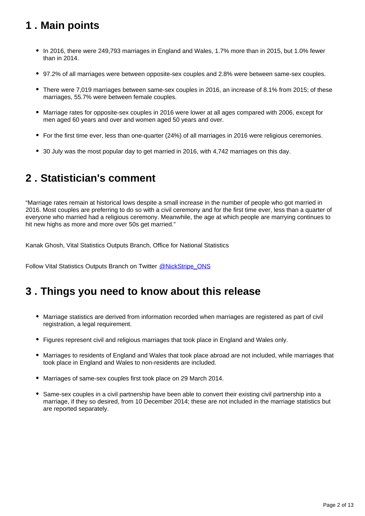## <span id="page-1-0"></span>**1 . Main points**

- In 2016, there were 249,793 marriages in England and Wales, 1.7% more than in 2015, but 1.0% fewer than in 2014.
- 97.2% of all marriages were between opposite-sex couples and 2.8% were between same-sex couples.
- There were 7,019 marriages between same-sex couples in 2016, an increase of 8.1% from 2015; of these marriages, 55.7% were between female couples.
- Marriage rates for opposite-sex couples in 2016 were lower at all ages compared with 2006, except for men aged 60 years and over and women aged 50 years and over.
- For the first time ever, less than one-quarter (24%) of all marriages in 2016 were religious ceremonies.
- 30 July was the most popular day to get married in 2016, with 4,742 marriages on this day.

### <span id="page-1-1"></span>**2 . Statistician's comment**

"Marriage rates remain at historical lows despite a small increase in the number of people who got married in 2016. Most couples are preferring to do so with a civil ceremony and for the first time ever, less than a quarter of everyone who married had a religious ceremony. Meanwhile, the age at which people are marrying continues to hit new highs as more and more over 50s get married."

Kanak Ghosh, Vital Statistics Outputs Branch, Office for National Statistics

Follow Vital Statistics Outputs Branch on Twitter [@NickStripe\\_ONS](https://twitter.com/NickStripe_ONS)

### <span id="page-1-2"></span>**3 . Things you need to know about this release**

- Marriage statistics are derived from information recorded when marriages are registered as part of civil registration, a legal requirement.
- Figures represent civil and religious marriages that took place in England and Wales only.
- Marriages to residents of England and Wales that took place abroad are not included, while marriages that took place in England and Wales to non-residents are included.
- Marriages of same-sex couples first took place on 29 March 2014.
- Same-sex couples in a civil partnership have been able to convert their existing civil partnership into a marriage, if they so desired, from 10 December 2014; these are not included in the marriage statistics but are reported separately.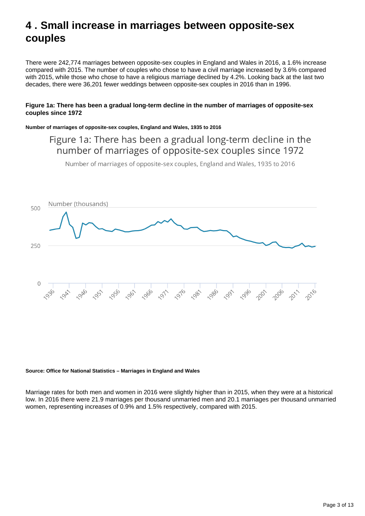### <span id="page-2-0"></span>**4 . Small increase in marriages between opposite-sex couples**

There were 242,774 marriages between opposite-sex couples in England and Wales in 2016, a 1.6% increase compared with 2015. The number of couples who chose to have a civil marriage increased by 3.6% compared with 2015, while those who chose to have a religious marriage declined by 4.2%. Looking back at the last two decades, there were 36,201 fewer weddings between opposite-sex couples in 2016 than in 1996.

#### **Figure 1a: There has been a gradual long-term decline in the number of marriages of opposite-sex couples since 1972**

#### **Number of marriages of opposite-sex couples, England and Wales, 1935 to 2016**

### Figure 1a: There has been a gradual long-term decline in the number of marriages of opposite-sex couples since 1972

Number of marriages of opposite-sex couples, England and Wales, 1935 to 2016



#### **Source: Office for National Statistics – Marriages in England and Wales**

Marriage rates for both men and women in 2016 were slightly higher than in 2015, when they were at a historical low. In 2016 there were 21.9 marriages per thousand unmarried men and 20.1 marriages per thousand unmarried women, representing increases of 0.9% and 1.5% respectively, compared with 2015.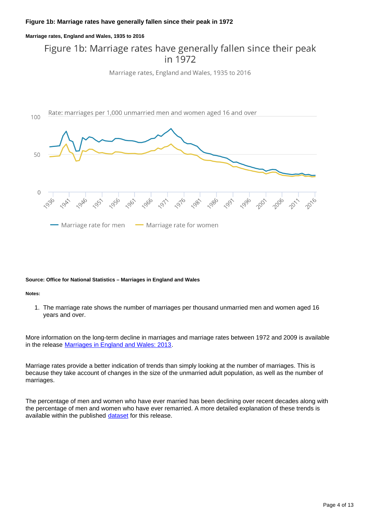#### **Figure 1b: Marriage rates have generally fallen since their peak in 1972**

#### **Marriage rates, England and Wales, 1935 to 2016**

### Figure 1b: Marriage rates have generally fallen since their peak in 1972

Marriage rates, England and Wales, 1935 to 2016



#### **Source: Office for National Statistics – Marriages in England and Wales**

#### **Notes:**

1. The marriage rate shows the number of marriages per thousand unmarried men and women aged 16 years and over.

More information on the long-term decline in marriages and marriage rates between 1972 and 2009 is available in the release [Marriages in England and Wales: 2013](https://www.ons.gov.uk/peoplepopulationandcommunity/birthsdeathsandmarriages/marriagecohabitationandcivilpartnerships/bulletins/marriagesinenglandandwalesprovisional/2013).

Marriage rates provide a better indication of trends than simply looking at the number of marriages. This is because they take account of changes in the size of the unmarried adult population, as well as the number of marriages.

The percentage of men and women who have ever married has been declining over recent decades along with the percentage of men and women who have ever remarried. A more detailed explanation of these trends is available within the published [dataset](https://www.ons.gov.uk/peoplepopulationandcommunity/birthsdeathsandmarriages/marriagecohabitationandcivilpartnerships/datasets/marriagesinenglandandwales2013) for this release.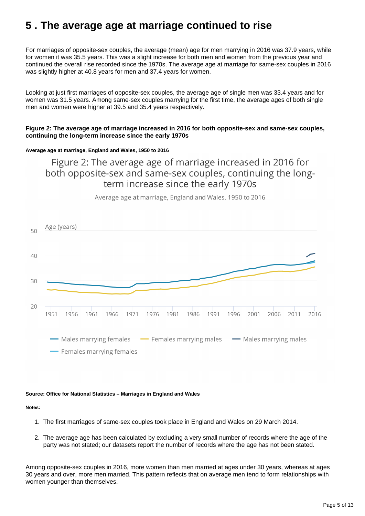### <span id="page-4-0"></span>**5 . The average age at marriage continued to rise**

For marriages of opposite-sex couples, the average (mean) age for men marrying in 2016 was 37.9 years, while for women it was 35.5 years. This was a slight increase for both men and women from the previous year and continued the overall rise recorded since the 1970s. The average age at marriage for same-sex couples in 2016 was slightly higher at 40.8 years for men and 37.4 years for women.

Looking at just first marriages of opposite-sex couples, the average age of single men was 33.4 years and for women was 31.5 years. Among same-sex couples marrying for the first time, the average ages of both single men and women were higher at 39.5 and 35.4 years respectively.

#### **Figure 2: The average age of marriage increased in 2016 for both opposite-sex and same-sex couples, continuing the long-term increase since the early 1970s**

#### **Average age at marriage, England and Wales, 1950 to 2016**

Figure 2: The average age of marriage increased in 2016 for both opposite-sex and same-sex couples, continuing the longterm increase since the early 1970s



Average age at marriage, England and Wales, 1950 to 2016

#### **Source: Office for National Statistics – Marriages in England and Wales**

#### **Notes:**

- 1. The first marriages of same-sex couples took place in England and Wales on 29 March 2014.
- 2. The average age has been calculated by excluding a very small number of records where the age of the party was not stated; our datasets report the number of records where the age has not been stated.

Among opposite-sex couples in 2016, more women than men married at ages under 30 years, whereas at ages 30 years and over, more men married. This pattern reflects that on average men tend to form relationships with women younger than themselves.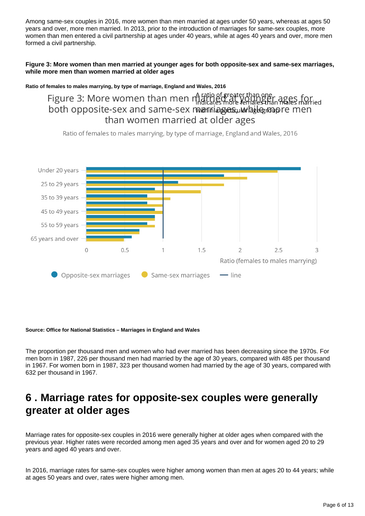Among same-sex couples in 2016, more women than men married at ages under 50 years, whereas at ages 50 years and over, more men married. In 2013, prior to the introduction of marriages for same-sex couples, more women than men entered a civil partnership at ages under 40 years, while at ages 40 years and over, more men formed a civil partnership.

#### **Figure 3: More women than men married at younger ages for both opposite-sex and same-sex marriages, while more men than women married at older ages**

**Ratio of females to males marrying, by type of marriage, England and Wales, 2016**

Figure 3: More women than men mating f greater than one.<br>Figure 3: More women than men mating for temple tenders mates married both opposite-sex and same-sex mariniages incremates material both opposite-sex and same-sex marinages una habital than women married at older ages

Ratio of females to males marrying, by type of marriage, England and Wales, 2016



#### **Source: Office for National Statistics – Marriages in England and Wales**

The proportion per thousand men and women who had ever married has been decreasing since the 1970s. For men born in 1987, 226 per thousand men had married by the age of 30 years, compared with 485 per thousand in 1967. For women born in 1987, 323 per thousand women had married by the age of 30 years, compared with 632 per thousand in 1967.

### <span id="page-5-0"></span>**6 . Marriage rates for opposite-sex couples were generally greater at older ages**

Marriage rates for opposite-sex couples in 2016 were generally higher at older ages when compared with the previous year. Higher rates were recorded among men aged 35 years and over and for women aged 20 to 29 years and aged 40 years and over.

In 2016, marriage rates for same-sex couples were higher among women than men at ages 20 to 44 years; while at ages 50 years and over, rates were higher among men.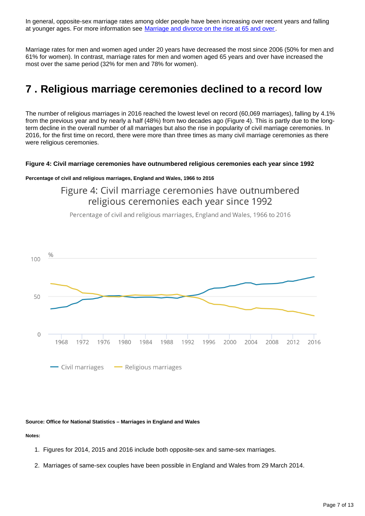In general, opposite-sex marriage rates among older people have been increasing over recent years and falling at younger ages. For more information see [Marriage and divorce on the rise at 65 and over](https://visual.ons.gov.uk/marriage-and-divorce-on-the-rise-at-65-and-over/).

Marriage rates for men and women aged under 20 years have decreased the most since 2006 (50% for men and 61% for women). In contrast, marriage rates for men and women aged 65 years and over have increased the most over the same period (32% for men and 78% for women).

### <span id="page-6-0"></span>**7 . Religious marriage ceremonies declined to a record low**

The number of religious marriages in 2016 reached the lowest level on record (60,069 marriages), falling by 4.1% from the previous year and by nearly a half (48%) from two decades ago (Figure 4). This is partly due to the longterm decline in the overall number of all marriages but also the rise in popularity of civil marriage ceremonies. In 2016, for the first time on record, there were more than three times as many civil marriage ceremonies as there were religious ceremonies.

#### **Figure 4: Civil marriage ceremonies have outnumbered religious ceremonies each year since 1992**

#### **Percentage of civil and religious marriages, England and Wales, 1966 to 2016**

Figure 4: Civil marriage ceremonies have outnumbered religious ceremonies each year since 1992

Percentage of civil and religious marriages, England and Wales, 1966 to 2016



#### **Source: Office for National Statistics – Marriages in England and Wales**

#### **Notes:**

- 1. Figures for 2014, 2015 and 2016 include both opposite-sex and same-sex marriages.
- 2. Marriages of same-sex couples have been possible in England and Wales from 29 March 2014.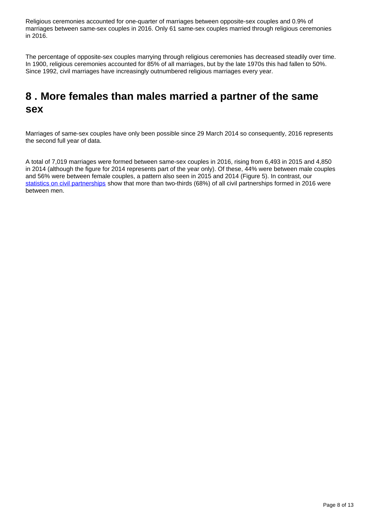Religious ceremonies accounted for one-quarter of marriages between opposite-sex couples and 0.9% of marriages between same-sex couples in 2016. Only 61 same-sex couples married through religious ceremonies in 2016.

The percentage of opposite-sex couples marrying through religious ceremonies has decreased steadily over time. In 1900, religious ceremonies accounted for 85% of all marriages, but by the late 1970s this had fallen to 50%. Since 1992, civil marriages have increasingly outnumbered religious marriages every year.

### <span id="page-7-0"></span>**8 . More females than males married a partner of the same sex**

Marriages of same-sex couples have only been possible since 29 March 2014 so consequently, 2016 represents the second full year of data.

A total of 7,019 marriages were formed between same-sex couples in 2016, rising from 6,493 in 2015 and 4,850 in 2014 (although the figure for 2014 represents part of the year only). Of these, 44% were between male couples and 56% were between female couples, a pattern also seen in 2015 and 2014 (Figure 5). In contrast, our [statistics on civil partnerships](https://www.ons.gov.uk/peoplepopulationandcommunity/birthsdeathsandmarriages/marriagecohabitationandcivilpartnerships/bulletins/civilpartnershipsinenglandandwales/2017) show that more than two-thirds (68%) of all civil partnerships formed in 2016 were between men.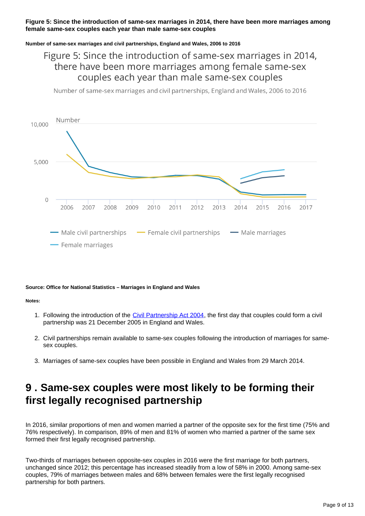#### **Figure 5: Since the introduction of same-sex marriages in 2014, there have been more marriages among female same-sex couples each year than male same-sex couples**

#### **Number of same-sex marriages and civil partnerships, England and Wales, 2006 to 2016**

### Figure 5: Since the introduction of same-sex marriages in 2014, there have been more marriages among female same-sex couples each year than male same-sex couples

Number of same-sex marriages and civil partnerships, England and Wales, 2006 to 2016



#### **Source: Office for National Statistics – Marriages in England and Wales**

**Notes:**

- 1. Following the introduction of the *Civil Partnership Act 2004*, the first day that couples could form a civil partnership was 21 December 2005 in England and Wales.
- 2. Civil partnerships remain available to same-sex couples following the introduction of marriages for samesex couples.
- 3. Marriages of same-sex couples have been possible in England and Wales from 29 March 2014.

### <span id="page-8-0"></span>**9 . Same-sex couples were most likely to be forming their first legally recognised partnership**

In 2016, similar proportions of men and women married a partner of the opposite sex for the first time (75% and 76% respectively). In comparison, 89% of men and 81% of women who married a partner of the same sex formed their first legally recognised partnership.

Two-thirds of marriages between opposite-sex couples in 2016 were the first marriage for both partners, unchanged since 2012; this percentage has increased steadily from a low of 58% in 2000. Among same-sex couples, 79% of marriages between males and 68% between females were the first legally recognised partnership for both partners.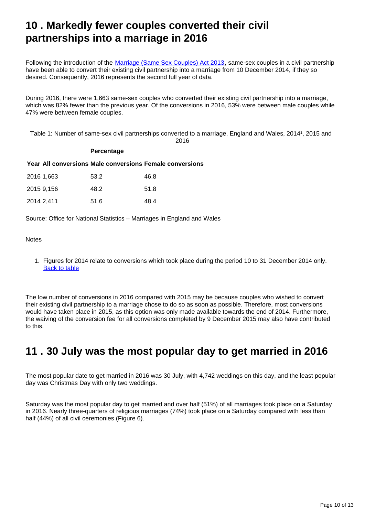### <span id="page-9-0"></span>**10 . Markedly fewer couples converted their civil partnerships into a marriage in 2016**

Following the introduction of the [Marriage \(Same Sex Couples\) Act 2013,](http://webarchive.nationalarchives.gov.uk/20160105160709/http:/www.legislation.gov.uk/ukpga/2013/30/contents) same-sex couples in a civil partnership have been able to convert their existing civil partnership into a marriage from 10 December 2014, if they so desired. Consequently, 2016 represents the second full year of data.

During 2016, there were 1,663 same-sex couples who converted their existing civil partnership into a marriage, which was 82% fewer than the previous year. Of the conversions in 2016, 53% were between male couples while 47% were between female couples.

Table 1: Number of same-sex civil partnerships converted to a marriage, England and Wales, 20141, 2015 and 2016

#### **Percentage**

**Year All conversions Male conversions Female conversions**

| 2016 1,663 | 53.2 | 46.8 |
|------------|------|------|
| 2015 9.156 | 48.2 | 51.8 |
| 2014 2,411 | 51.6 | 48.4 |

Source: Office for National Statistics – Marriages in England and Wales

#### **Notes**

1. Figures for 2014 relate to conversions which took place during the period 10 to 31 December 2014 only. [Back to table](#page-0-0)

The low number of conversions in 2016 compared with 2015 may be because couples who wished to convert their existing civil partnership to a marriage chose to do so as soon as possible. Therefore, most conversions would have taken place in 2015, as this option was only made available towards the end of 2014. Furthermore, the waiving of the conversion fee for all conversions completed by 9 December 2015 may also have contributed to this.

### <span id="page-9-1"></span>**11 . 30 July was the most popular day to get married in 2016**

The most popular date to get married in 2016 was 30 July, with 4,742 weddings on this day, and the least popular day was Christmas Day with only two weddings.

Saturday was the most popular day to get married and over half (51%) of all marriages took place on a Saturday in 2016. Nearly three-quarters of religious marriages (74%) took place on a Saturday compared with less than half (44%) of all civil ceremonies (Figure 6).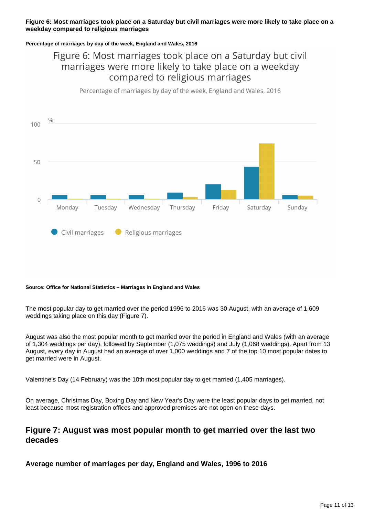#### **Figure 6: Most marriages took place on a Saturday but civil marriages were more likely to take place on a weekday compared to religious marriages**

#### **Percentage of marriages by day of the week, England and Wales, 2016**

### Figure 6: Most marriages took place on a Saturday but civil marriages were more likely to take place on a weekday compared to religious marriages

Percentage of marriages by day of the week, England and Wales, 2016



#### **Source: Office for National Statistics – Marriages in England and Wales**

The most popular day to get married over the period 1996 to 2016 was 30 August, with an average of 1,609 weddings taking place on this day (Figure 7).

August was also the most popular month to get married over the period in England and Wales (with an average of 1,304 weddings per day), followed by September (1,075 weddings) and July (1,068 weddings). Apart from 13 August, every day in August had an average of over 1,000 weddings and 7 of the top 10 most popular dates to get married were in August.

Valentine's Day (14 February) was the 10th most popular day to get married (1,405 marriages).

On average, Christmas Day, Boxing Day and New Year's Day were the least popular days to get married, not least because most registration offices and approved premises are not open on these days.

### **Figure 7: August was most popular month to get married over the last two decades**

**Average number of marriages per day, England and Wales, 1996 to 2016**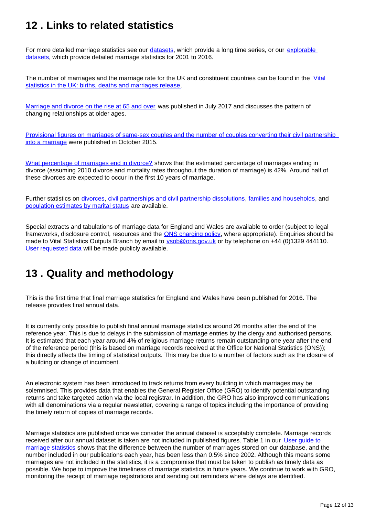## <span id="page-11-0"></span>**12 . Links to related statistics**

For more detailed marriage statistics see our *datasets*, which provide a long time series, or our *explorable* [datasets,](https://www.nomisweb.co.uk/query/select/getdatasetbytheme.asp?theme=73) which provide detailed marriage statistics for 2001 to 2016.

The number of marriages and the marriage rate for the UK and constituent countries can be found in the Vital [statistics in the UK: births, deaths and marriages release.](https://www.ons.gov.uk/peoplepopulationandcommunity/populationandmigration/populationestimates/datasets/vitalstatisticspopulationandhealthreferencetables)

[Marriage and divorce on the rise at 65 and over](https://visual.ons.gov.uk/marriage-and-divorce-on-the-rise-at-65-and-over/) was published in July 2017 and discusses the pattern of changing relationships at older ages.

[Provisional figures on marriages of same-sex couples and the number of couples converting their civil partnership](http://webarchive.nationalarchives.gov.uk/20160105160709/http:/www.ons.gov.uk/ons/rel/vsob1/marriages-in-england-and-wales--provisional-/for-same-sex-couples--2014/sty-for-same-sex-couples-2014.html)  [into a marriage](http://webarchive.nationalarchives.gov.uk/20160105160709/http:/www.ons.gov.uk/ons/rel/vsob1/marriages-in-england-and-wales--provisional-/for-same-sex-couples--2014/sty-for-same-sex-couples-2014.html) were published in October 2015.

[What percentage of marriages end in divorce?](http://webarchive.nationalarchives.gov.uk/20160105160709/http:/www.ons.gov.uk/ons/rel/vsob1/divorces-in-england-and-wales/2011/sty-what-percentage-of-marriages-end-in-divorce.html) shows that the estimated percentage of marriages ending in divorce (assuming 2010 divorce and mortality rates throughout the duration of marriage) is 42%. Around half of these divorces are expected to occur in the first 10 years of marriage.

Further statistics on [divorces,](http://www.ons.gov.uk/peoplepopulationandcommunity/birthsdeathsandmarriages/divorce/bulletins/divorcesinenglandandwales/previousReleases) [civil partnerships and civil partnership dissolutions,](http://www.ons.gov.uk/peoplepopulationandcommunity/birthsdeathsandmarriages/marriagecohabitationandcivilpartnerships/bulletins/civilpartnershipsinenglandandwales/previousReleases) [families and households](http://www.ons.gov.uk/peoplepopulationandcommunity/birthsdeathsandmarriages/families/bulletins/familiesandhouseholds/previousReleases), and [population estimates by marital status](http://www.ons.gov.uk/peoplepopulationandcommunity/populationandmigration/populationestimates/bulletins/populationestimatesbymaritalstatusandlivingarrangements/previousReleases) are available.

Special extracts and tabulations of marriage data for England and Wales are available to order (subject to legal frameworks, disclosure control, resources and the [ONS charging policy](http://www.ons.gov.uk/aboutus/whatwedo/statistics/publicationscheme), where appropriate). Enquiries should be made to Vital Statistics Outputs Branch by email to vsob@ons.gov.uk or by telephone on +44 (0)1329 444110. [User requested data](https://www.ons.gov.uk/peoplepopulationandcommunity/birthsdeathsandmarriages/marriagecohabitationandcivilpartnerships/datalist?sortBy=release_date&query=&filter=user_requested_data&fromDate=&toDate=) will be made publicly available.

### <span id="page-11-1"></span>**13 . Quality and methodology**

This is the first time that final marriage statistics for England and Wales have been published for 2016. The release provides final annual data.

It is currently only possible to publish final annual marriage statistics around 26 months after the end of the reference year. This is due to delays in the submission of marriage entries by the clergy and authorised persons. It is estimated that each year around 4% of religious marriage returns remain outstanding one year after the end of the reference period (this is based on marriage records received at the Office for National Statistics (ONS)); this directly affects the timing of statistical outputs. This may be due to a number of factors such as the closure of a building or change of incumbent.

An electronic system has been introduced to track returns from every building in which marriages may be solemnised. This provides data that enables the General Register Office (GRO) to identify potential outstanding returns and take targeted action via the local registrar. In addition, the GRO has also improved communications with all denominations via a regular newsletter, covering a range of topics including the importance of providing the timely return of copies of marriage records.

Marriage statistics are published once we consider the annual dataset is acceptably complete. Marriage records received after our annual dataset is taken are not included in published figures. Table 1 in our [User guide to](https://www.ons.gov.uk/peoplepopulationandcommunity/birthsdeathsandmarriages/marriagecohabitationandcivilpartnerships/methodologies/userguidetomarriagestatistics)  [marriage statistics](https://www.ons.gov.uk/peoplepopulationandcommunity/birthsdeathsandmarriages/marriagecohabitationandcivilpartnerships/methodologies/userguidetomarriagestatistics) shows that the difference between the number of marriages stored on our database, and the number included in our publications each year, has been less than 0.5% since 2002. Although this means some marriages are not included in the statistics, it is a compromise that must be taken to publish as timely data as possible. We hope to improve the timeliness of marriage statistics in future years. We continue to work with GRO, monitoring the receipt of marriage registrations and sending out reminders where delays are identified.